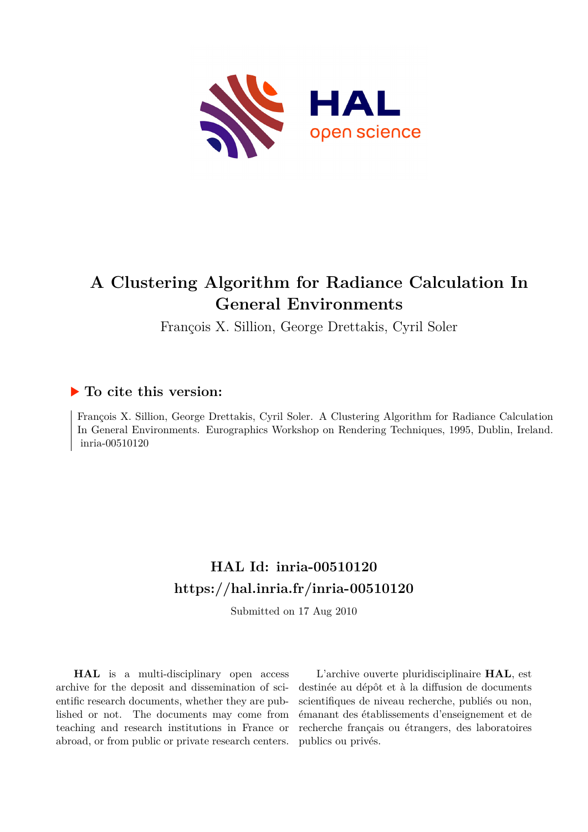

# **A Clustering Algorithm for Radiance Calculation In General Environments**

François X. Sillion, George Drettakis, Cyril Soler

## **To cite this version:**

François X. Sillion, George Drettakis, Cyril Soler. A Clustering Algorithm for Radiance Calculation In General Environments. Eurographics Workshop on Rendering Techniques, 1995, Dublin, Ireland.  $inria-00510120$ 

# **HAL Id: inria-00510120 <https://hal.inria.fr/inria-00510120>**

Submitted on 17 Aug 2010

**HAL** is a multi-disciplinary open access archive for the deposit and dissemination of scientific research documents, whether they are published or not. The documents may come from teaching and research institutions in France or abroad, or from public or private research centers.

L'archive ouverte pluridisciplinaire **HAL**, est destinée au dépôt et à la diffusion de documents scientifiques de niveau recherche, publiés ou non, émanant des établissements d'enseignement et de recherche français ou étrangers, des laboratoires publics ou privés.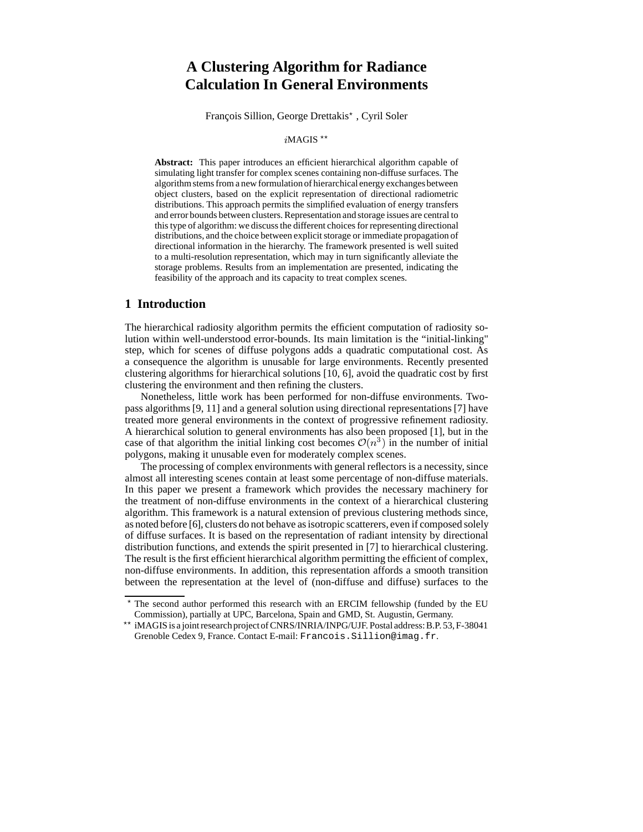## **A Clustering Algorithm for Radiance Calculation In General Environments**

François Sillion, George Drettakis , Cyril Soler

#### $i$ MAGIS

**Abstract:** This paper introduces an efficient hierarchical algorithm capable of simulating light transfer for complex scenes containing non-diffuse surfaces. The algorithmstemsfroma new formulation of hierarchical energy exchangesbetween object clusters, based on the explicit representation of directional radiometric distributions. This approach permits the simplified evaluation of energy transfers and error bounds between clusters.Representation and storage issues are central to this type of algorithm: we discuss the different choices for representing directional distributions, and the choice between explicit storage or immediate propagation of directional information in the hierarchy. The framework presented is well suited to a multi-resolution representation, which may in turn significantly alleviate the storage problems. Results from an implementation are presented, indicating the feasibility of the approach and its capacity to treat complex scenes.

## **1 Introduction**

The hierarchical radiosity algorithm permits the efficient computation of radiosity solution within well-understood error-bounds. Its main limitation is the "initial-linking" step, which for scenes of diffuse polygons adds a quadratic computational cost. As a consequence the algorithm is unusable for large environments. Recently presented clustering algorithms for hierarchical solutions [10, 6], avoid the quadratic cost by first clustering the environment and then refining the clusters.

Nonetheless, little work has been performed for non-diffuse environments. Twopass algorithms [9, 11] and a general solution using directional representations [7] have treated more general environments in the context of progressive refinement radiosity. A hierarchical solution to general environments has also been proposed [1], but in the case of that algorithm the initial linking cost becomes  $\mathcal{O}(n^3)$  in the number of initial polygons, making it unusable even for moderately complex scenes.

The processing of complex environments with general reflectors is a necessity, since almost all interesting scenes contain at least some percentage of non-diffuse materials. In this paper we present a framework which provides the necessary machinery for the treatment of non-diffuse environments in the context of a hierarchical clustering algorithm. This framework is a natural extension of previous clustering methods since, as noted before [6], clusters do not behave asisotropic scatterers, even if composed solely of diffuse surfaces. It is based on the representation of radiant intensity by directional distribution functions, and extends the spirit presented in [7] to hierarchical clustering. The result is the first efficient hierarchical algorithm permitting the efficient of complex, non-diffuse environments. In addition, this representation affords a smooth transition between the representation at the level of (non-diffuse and diffuse) surfaces to the

The second author performed this research with an ERCIM fellowship (funded by the EU Commission), partially at UPC, Barcelona, Spain and GMD, St. Augustin, Germany.

iMAGIS is a joint research project of CNRS/INRIA/INPG/UJF. Postal address: B.P. 53, F-38041 Grenoble Cedex 9, France. Contact E-mail: Francois.Sillion@imag.fr.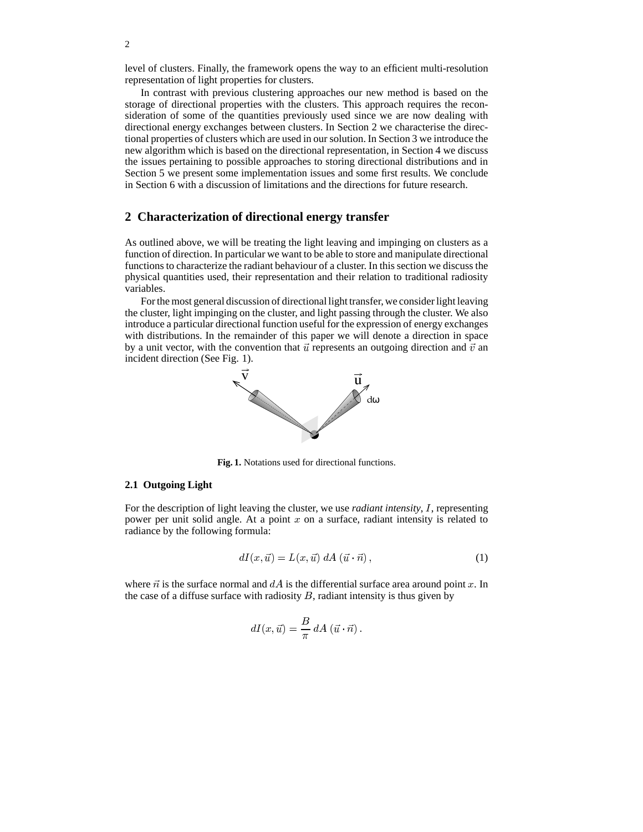level of clusters. Finally, the framework opens the way to an efficient multi-resolution representation of light properties for clusters.

In contrast with previous clustering approaches our new method is based on the storage of directional properties with the clusters. This approach requires the reconsideration of some of the quantities previously used since we are now dealing with directional energy exchanges between clusters. In Section 2 we characterise the directional properties of clusters which are used in our solution. In Section 3 we introduce the new algorithm which is based on the directional representation, in Section 4 we discuss the issues pertaining to possible approaches to storing directional distributions and in Section 5 we present some implementation issues and some first results. We conclude in Section 6 with a discussion of limitations and the directions for future research.

## **2 Characterization of directional energy transfer**

As outlined above, we will be treating the light leaving and impinging on clusters as a function of direction. In particular we want to be able to store and manipulate directional functionsto characterize the radiant behaviour of a cluster. In this section we discuss the physical quantities used, their representation and their relation to traditional radiosity variables.

For the most general discussion of directional light transfer, we consider light leaving the cluster, light impinging on the cluster, and light passing through the cluster. We also introduce a particular directional function useful for the expression of energy exchanges with distributions. In the remainder of this paper we will denote a direction in space by a unit vector, with the convention that  $\vec{u}$  represents an outgoing direction and  $\vec{v}$  an incident direction (See Fig. 1).



**Fig. 1.** Notations used for directional functions.

## **2.1 Outgoing Light**

For the description of light leaving the cluster, we use *radiant intensity*, I, representing power per unit solid angle. At a point  $x$  on a surface, radiant intensity is related to radiance by the following formula:

$$
dI(x, \vec{u}) = L(x, \vec{u}) dA (\vec{u} \cdot \vec{n}), \qquad (1)
$$

where  $\vec{n}$  is the surface normal and  $dA$  is the differential surface area around point x. In the case of a diffuse surface with radiosity  $B$ , radiant intensity is thus given by

$$
dI(x, \vec{u}) = \frac{B}{\pi} dA (\vec{u} \cdot \vec{n}).
$$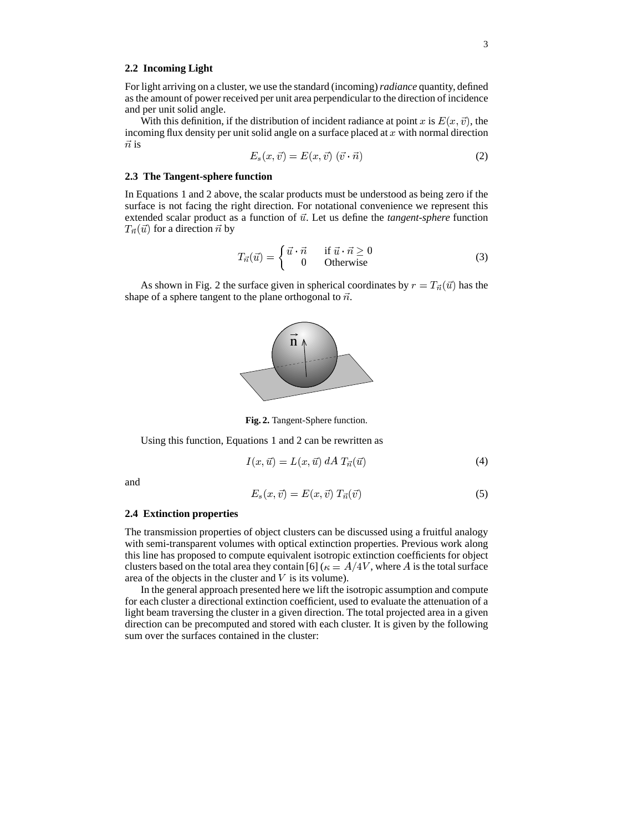#### **2.2 Incoming Light**

For light arriving on a cluster, we use the standard (incoming)*radiance* quantity, defined asthe amount of power received per unit area perpendicular to the direction of incidence and per unit solid angle.

With this definition, if the distribution of incident radiance at point x is  $E(x, \vec{v})$ , the incoming flux density per unit solid angle on a surface placed at  $x$  with normal direction  $\vec{n}$  is

$$
E_s(x, \vec{v}) = E(x, \vec{v}) \left( \vec{v} \cdot \vec{n} \right)
$$
 (2)

#### **2.3 The Tangent-sphere function**

In Equations 1 and 2 above, the scalar products must be understood as being zero if the surface is not facing the right direction. For notational convenience we represent this extended scalar product as a function of  $\vec{u}$ . Let us define the *tangent-sphere* function  $T_{\vec{n}}(\vec{u})$  for a direction  $\vec{n}$  by

$$
T_{\vec{n}}(\vec{u}) = \begin{cases} \vec{u} \cdot \vec{n} & \text{if } \vec{u} \cdot \vec{n} \ge 0 \\ 0 & \text{Otherwise} \end{cases}
$$
 (3)

As shown in Fig. 2 the surface given in spherical coordinates by  $r = T_{\vec{n}}(\vec{u})$  has the shape of a sphere tangent to the plane orthogonal to  $\vec{n}$ .



**Fig. 2.** Tangent-Sphere function.

Using this function, Equations 1 and 2 can be rewritten as

$$
I(x, \vec{u}) = L(x, \vec{u}) \, dA \, T_{\vec{n}}(\vec{u}) \tag{4}
$$

and

$$
E_s(x, \vec{v}) = E(x, \vec{v}) T_{\vec{n}}(\vec{v}) \tag{5}
$$

#### **2.4 Extinction properties**

The transmission properties of object clusters can be discussed using a fruitful analogy with semi-transparent volumes with optical extinction properties. Previous work along this line has proposed to compute equivalent isotropic extinction coefficients for object clusters based on the total area they contain [6] ( $\kappa = A/4V$ , where  $A$  is the total surface area of the objects in the cluster and  $V$  is its volume).

In the general approach presented here we lift the isotropic assumption and compute for each cluster a directional extinction coefficient, used to evaluate the attenuation of a light beam traversing the cluster in a given direction. The total projected area in a given direction can be precomputed and stored with each cluster. It is given by the following sum over the surfaces contained in the cluster: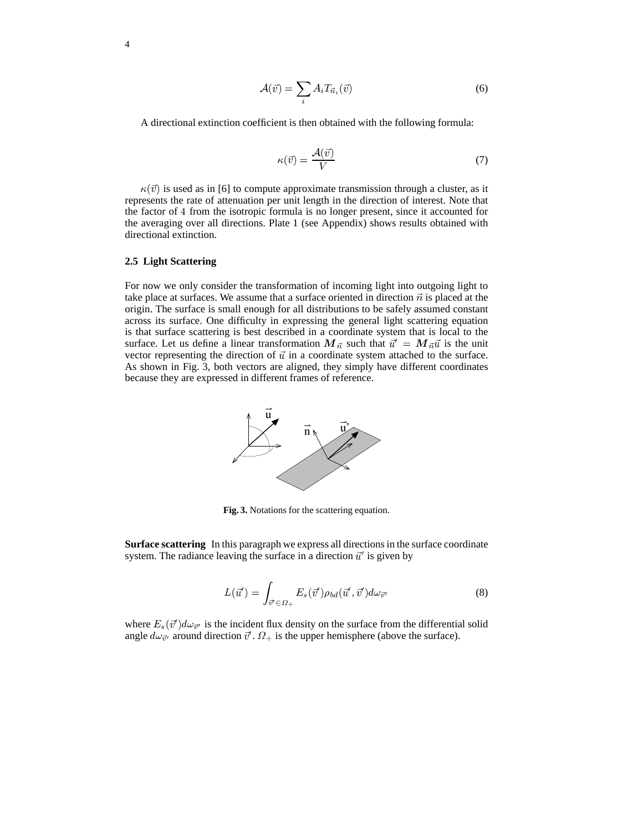$$
\mathcal{A}(\vec{v}) = \sum_{i} A_i T_{\vec{n}_i}(\vec{v}) \tag{6}
$$

A directional extinction coefficient is then obtained with the following formula:

$$
\kappa(\vec{v}) = \frac{\mathcal{A}(\vec{v})}{V} \tag{7}
$$

 $\kappa(\vec{v})$  is used as in [6] to compute approximate transmission through a cluster, as it represents the rate of attenuation per unit length in the direction of interest. Note that the factor of 4 from the isotropic formula is no longer present, since it accounted for the averaging over all directions. Plate 1 (see Appendix) shows results obtained with directional extinction.

## **2.5 Light Scattering**

For now we only consider the transformation of incoming light into outgoing light to take place at surfaces. We assume that a surface oriented in direction  $\vec{n}$  is placed at the origin. The surface is small enough for all distributions to be safely assumed constant across its surface. One difficulty in expressing the general light scattering equation is that surface scattering is best described in a coordinate system that is local to the surface. Let us define a linear transformation  $M_{\vec{n}}$  such that  $\vec{u}' = M_{\vec{n}} \vec{u}$  is the unit vector representing the direction of  $\vec{u}$  in a coordinate system attached to the surface. As shown in Fig. 3, both vectors are aligned, they simply have different coordinates because they are expressed in different frames of reference.



**Fig. 3.** Notations for the scattering equation.

**Surface scattering** In this paragraph we express all directions in the surface coordinate system. The radiance leaving the surface in a direction  $\vec{u}'$  is given by

$$
L(\vec{u}') = \int_{\vec{v}' \in \Omega_+} E_s(\vec{v}') \rho_{bd}(\vec{u}', \vec{v}') d\omega_{\vec{v}'}
$$
\n(8)

where  $E_s(\vec{v}')d\omega_{\vec{v}'}$  is the incident flux density on the surface from the differential solid angle  $d\omega_{\vec{v}}$  around direction  $\vec{v}'$ .  $\Omega_+$  is the upper hemisphere (above the surface).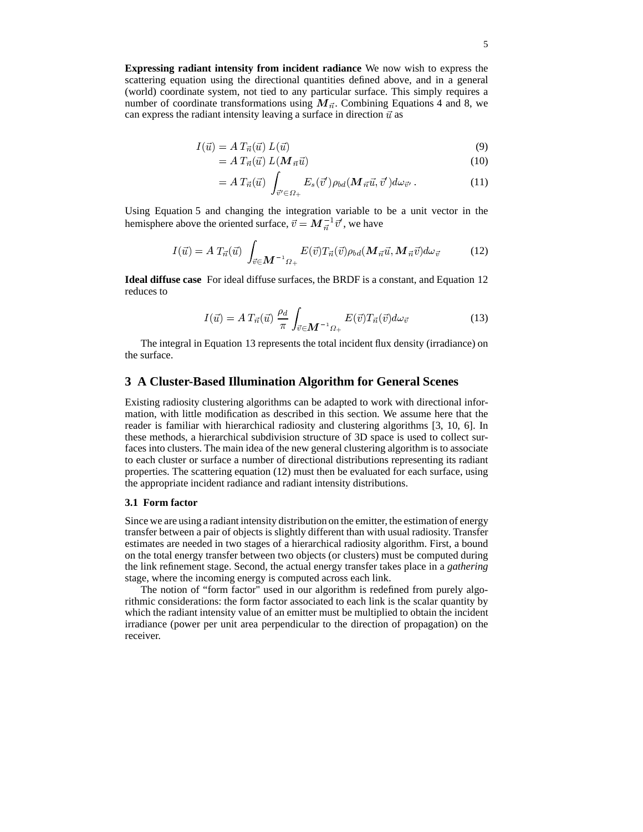**Expressing radiant intensity from incident radiance** We now wish to express the scattering equation using the directional quantities defined above, and in a general (world) coordinate system, not tied to any particular surface. This simply requires a number of coordinate transformations using  $M_{\vec{n}}$ . Combining Equations 4 and 8, we can express the radiant intensity leaving a surface in direction  $\vec{u}$  as

$$
I(\vec{u}) = A T_{\vec{n}}(\vec{u}) L(\vec{u}) \tag{9}
$$

$$
=A T_{\vec{n}}(\vec{u}) L(M_{\vec{n}}\vec{u})
$$
\n(10)

$$
= A T_{\vec{n}}(\vec{u}) \int_{\vec{v}' \in \Omega_+} E_s(\vec{v}') \rho_{bd}(\mathbf{M}_{\vec{n}} \vec{u}, \vec{v}') d\omega_{\vec{v}'}.
$$
 (11)

Using Equation 5 and changing the integration variable to be a unit vector in the hemisphere above the oriented surface,  $\vec{v} = M_{\vec{u}}^{-1} \vec{v}'$ , we have

$$
I(\vec{u}) = A T_{\vec{n}}(\vec{u}) \int_{\vec{v} \in \mathbf{M}^{-1} \Omega_+} E(\vec{v}) T_{\vec{n}}(\vec{v}) \rho_{bd}(\mathbf{M}_{\vec{n}} \vec{u}, \mathbf{M}_{\vec{n}} \vec{v}) d\omega_{\vec{v}}
$$
(12)

**Ideal diffuse case** For ideal diffuse surfaces, the BRDF is a constant, and Equation 12 reduces to

$$
I(\vec{u}) = A T_{\vec{n}}(\vec{u}) \frac{\rho_d}{\pi} \int_{\vec{v} \in \mathbf{M}^{-1} \Omega_+} E(\vec{v}) T_{\vec{n}}(\vec{v}) d\omega_{\vec{v}}
$$
(13)

The integral in Equation 13 represents the total incident flux density (irradiance) on the surface.

## **3 A Cluster-Based Illumination Algorithm for General Scenes**

Existing radiosity clustering algorithms can be adapted to work with directional information, with little modification as described in this section. We assume here that the reader is familiar with hierarchical radiosity and clustering algorithms [3, 10, 6]. In these methods, a hierarchical subdivision structure of 3D space is used to collect surfaces into clusters. The main idea of the new general clustering algorithm is to associate to each cluster or surface a number of directional distributions representing its radiant properties. The scattering equation (12) must then be evaluated for each surface, using the appropriate incident radiance and radiant intensity distributions.

#### **3.1 Form factor**

Since we are using a radiant intensity distribution on the emitter, the estimation of energy transfer between a pair of objects is slightly differentthan with usual radiosity. Transfer estimates are needed in two stages of a hierarchical radiosity algorithm. First, a bound on the total energy transfer between two objects (or clusters) must be computed during the link refinement stage. Second, the actual energy transfer takes place in a *gathering* stage, where the incoming energy is computed across each link.

The notion of "form factor" used in our algorithm is redefined from purely algorithmic considerations: the form factor associated to each link is the scalar quantity by which the radiant intensity value of an emitter must be multiplied to obtain the incident irradiance (power per unit area perpendicular to the direction of propagation) on the receiver.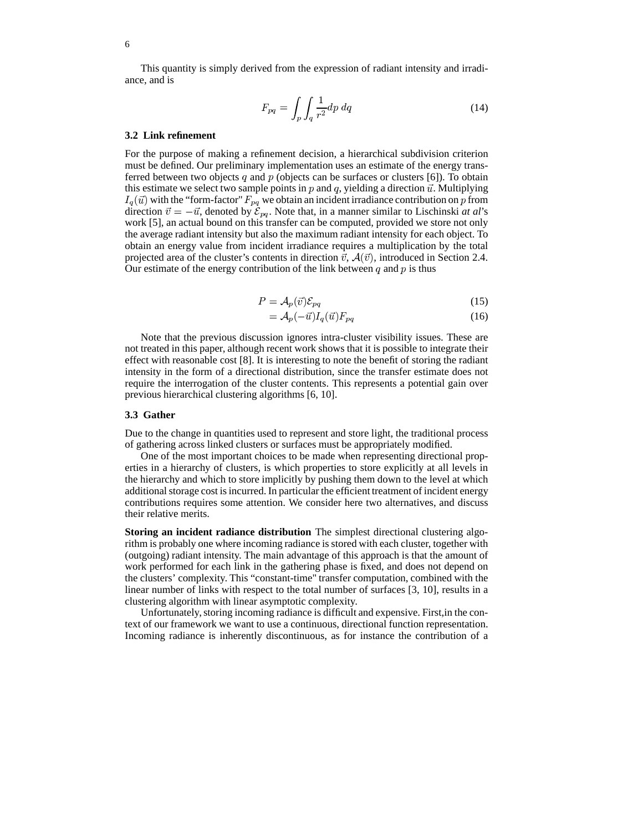6

This quantity is simply derived from the expression of radiant intensity and irradiance, and is

$$
F_{pq} = \int_p \int_q \frac{1}{r^2} dp \ dq \tag{14}
$$

#### **3.2 Link refinement**

For the purpose of making a refinement decision, a hierarchical subdivision criterion must be defined. Our preliminary implementation uses an estimate of the energy transferred between two objects q and  $p$  (objects can be surfaces or clusters [6]). To obtain this estimate we select two sample points in  $p$  and  $q$ , yielding a direction  $\vec{u}$ . Multiplying  $I_q(\vec{u})$  with the "form-factor"  $F_{pq}$  we obtain an incident irradiance contribution on p from direction  $\vec{v} = -\vec{u}$ , denoted by  $\mathcal{E}_{pq}$ . Note that, in a manner similar to Lischinski *at al's* work [5], an actual bound on this transfer can be computed, provided we store not only the average radiant intensity but also the maximum radiant intensity for each object. To obtain an energy value from incident irradiance requires a multiplication by the total projected area of the cluster's contents in direction  $\vec{v}$ ,  $\mathcal{A}(\vec{v})$ , introduced in Section 2.4. Our estimate of the energy contribution of the link between  $q$  and  $p$  is thus

$$
P = \mathcal{A}_p(\vec{v}) \mathcal{E}_{pq} \tag{15}
$$

$$
= \mathcal{A}_p(-\vec{u}) I_q(\vec{u}) F_{pq} \tag{16}
$$

Note that the previous discussion ignores intra-cluster visibility issues. These are not treated in this paper, although recent work shows that it is possible to integrate their effect with reasonable cost [8]. It is interesting to note the benefit of storing the radiant intensity in the form of a directional distribution, since the transfer estimate does not require the interrogation of the cluster contents. This represents a potential gain over previous hierarchical clustering algorithms [6, 10].

#### **3.3 Gather**

Due to the change in quantities used to represent and store light, the traditional process of gathering across linked clusters or surfaces must be appropriately modified.

One of the most important choices to be made when representing directional properties in a hierarchy of clusters, is which properties to store explicitly at all levels in the hierarchy and which to store implicitly by pushing them down to the level at which additional storage cost is incurred. In particular the efficient treatment of incident energy contributions requires some attention. We consider here two alternatives, and discuss their relative merits.

**Storing an incident radiance distribution** The simplest directional clustering algorithm is probably one where incoming radiance is stored with each cluster, together with (outgoing) radiant intensity. The main advantage of this approach is that the amount of work performed for each link in the gathering phase is fixed, and does not depend on the clusters' complexity. This "constant-time" transfer computation, combined with the linear number of links with respect to the total number of surfaces [3, 10], results in a clustering algorithm with linear asymptotic complexity.

Unfortunately, storing incoming radiance is difficult and expensive. First, in the context of our framework we want to use a continuous, directional function representation. Incoming radiance is inherently discontinuous, as for instance the contribution of a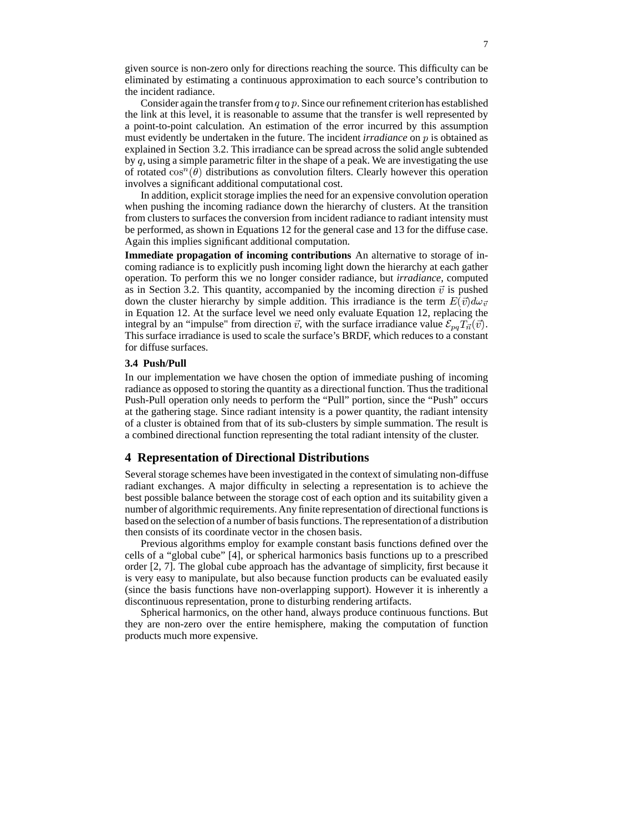given source is non-zero only for directions reaching the source. This difficulty can be eliminated by estimating a continuous approximation to each source's contribution to the incident radiance.

Consider again the transfer from  $q$  to  $p$ . Since our refinement criterion has established the link at this level, it is reasonable to assume that the transfer is well represented by a point-to-point calculation. An estimation of the error incurred by this assumption must evidently be undertaken in the future. The incident *irradiance* on p is obtained as explained in Section 3.2. This irradiance can be spread across the solid angle subtended by  $q$ , using a simple parametric filter in the shape of a peak. We are investigating the use of rotated  $cos^{n}(\theta)$  distributions as convolution filters. Clearly however this operation involves a significant additional computational cost.

In addition, explicit storage implies the need for an expensive convolution operation when pushing the incoming radiance down the hierarchy of clusters. At the transition from clusters to surfaces the conversion from incident radiance to radiant intensity must be performed, as shown in Equations 12 for the general case and 13 for the diffuse case. Again this implies significant additional computation.

**Immediate propagation of incoming contributions** An alternative to storage of incoming radiance is to explicitly push incoming light down the hierarchy at each gather operation. To perform this we no longer consider radiance, but *irradiance*, computed as in Section 3.2. This quantity, accompanied by the incoming direction  $\vec{v}$  is pushed down the cluster hierarchy by simple addition. This irradiance is the term  $E(\vec{v}) d\omega_{\vec{v}}$ in Equation 12. At the surface level we need only evaluate Equation 12, replacing the integral by an "impulse" from direction  $\vec{v}$ , with the surface irradiance value  $\mathcal{E}_{pq}T_{\vec{n}}(\vec{v})$ . This surface irradiance is used to scale the surface's BRDF, which reduces to a constant for diffuse surfaces.

## **3.4 Push/Pull**

In our implementation we have chosen the option of immediate pushing of incoming radiance as opposed to storing the quantity as a directional function. Thus the traditional Push-Pull operation only needs to perform the "Pull" portion, since the "Push" occurs at the gathering stage. Since radiant intensity is a power quantity, the radiant intensity of a cluster is obtained from that of its sub-clusters by simple summation. The result is a combined directional function representing the total radiant intensity of the cluster.

## **4 Representation of Directional Distributions**

Several storage schemes have been investigated in the context of simulating non-diffuse radiant exchanges. A major difficulty in selecting a representation is to achieve the best possible balance between the storage cost of each option and its suitability given a number of algorithmic requirements. Any finite representation of directional functions is based on the selection of a number of basisfunctions. The representation of a distribution then consists of its coordinate vector in the chosen basis.

Previous algorithms employ for example constant basis functions defined over the cells of a "global cube" [4], or spherical harmonics basis functions up to a prescribed order [2, 7]. The global cube approach has the advantage of simplicity, first because it is very easy to manipulate, but also because function products can be evaluated easily (since the basis functions have non-overlapping support). However it is inherently a discontinuous representation, prone to disturbing rendering artifacts.

Spherical harmonics, on the other hand, always produce continuous functions. But they are non-zero over the entire hemisphere, making the computation of function products much more expensive.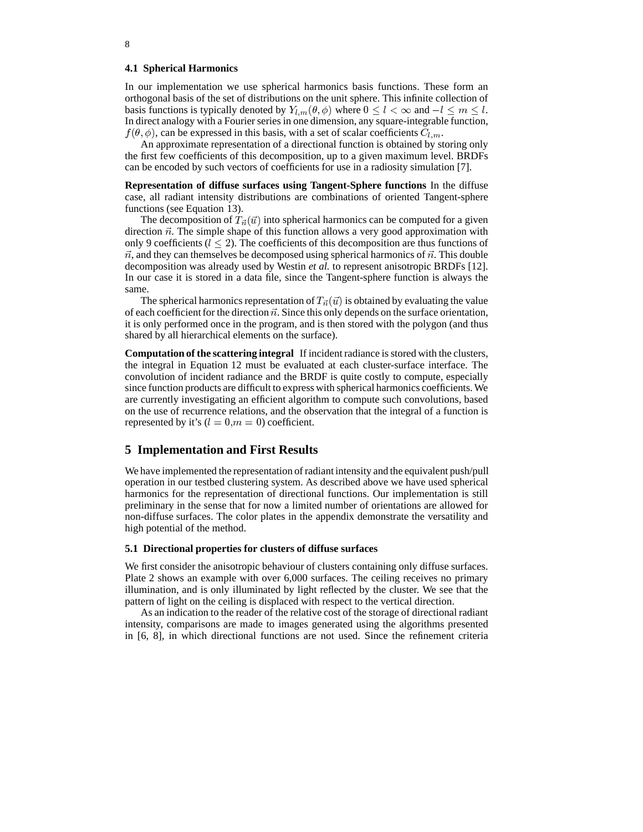## **4.1 Spherical Harmonics**

In our implementation we use spherical harmonics basis functions. These form an orthogonal basis of the set of distributions on the unit sphere. This infinite collection of basis functions is typically denoted by  $Y_{l,m}(\theta, \phi)$  where  $0 \le l < \infty$  and  $-l \le m \le l$ . In direct analogy with a Fourier series in one dimension, any square-integrable function,  $f(\theta, \phi)$ , can be expressed in this basis, with a set of scalar coefficients  $C_{l,m}$ .

An approximate representation of a directional function is obtained by storing only the first few coefficients of this decomposition, up to a given maximum level. BRDFs can be encoded by such vectors of coefficients for use in a radiosity simulation [7].

**Representation of diffuse surfaces using Tangent-Sphere functions** In the diffuse case, all radiant intensity distributions are combinations of oriented Tangent-sphere functions (see Equation 13).

The decomposition of  $T_{\vec{n}}(\vec{u})$  into spherical harmonics can be computed for a given direction  $\vec{n}$ . The simple shape of this function allows a very good approximation with only 9 coefficients ( $l \leq 2$ ). The coefficients of this decomposition are thus functions of  $\vec{n}$ , and they can themselves be decomposed using spherical harmonics of  $\vec{n}$ . This double decomposition was already used by Westin *et al.* to represent anisotropic BRDFs [12]. In our case it is stored in a data file, since the Tangent-sphere function is always the same.

The spherical harmonics representation of  $T_{\vec{n}}(\vec{u})$  is obtained by evaluating the value of each coefficient for the direction  $\vec{n}$ . Since this only depends on the surface orientation, it is only performed once in the program, and is then stored with the polygon (and thus shared by all hierarchical elements on the surface).

**Computationof the scattering integral** If incident radiance isstored with the clusters, the integral in Equation 12 must be evaluated at each cluster-surface interface. The convolution of incident radiance and the BRDF is quite costly to compute, especially since function products are difficult to express with spherical harmonics coefficients. We are currently investigating an efficient algorithm to compute such convolutions, based on the use of recurrence relations, and the observation that the integral of a function is represented by it's  $(l = 0, m = 0)$  coefficient.

## **5 Implementation and First Results**

We have implemented the representation of radiant intensity and the equivalent push/pull operation in our testbed clustering system. As described above we have used spherical harmonics for the representation of directional functions. Our implementation is still preliminary in the sense that for now a limited number of orientations are allowed for non-diffuse surfaces. The color plates in the appendix demonstrate the versatility and high potential of the method.

#### **5.1 Directional properties for clusters of diffuse surfaces**

We first consider the anisotropic behaviour of clusters containing only diffuse surfaces. Plate 2 shows an example with over 6,000 surfaces. The ceiling receives no primary illumination, and is only illuminated by light reflected by the cluster. We see that the pattern of light on the ceiling is displaced with respect to the vertical direction.

As an indication to the reader of the relative cost of the storage of directional radiant intensity, comparisons are made to images generated using the algorithms presented in [6, 8], in which directional functions are not used. Since the refinement criteria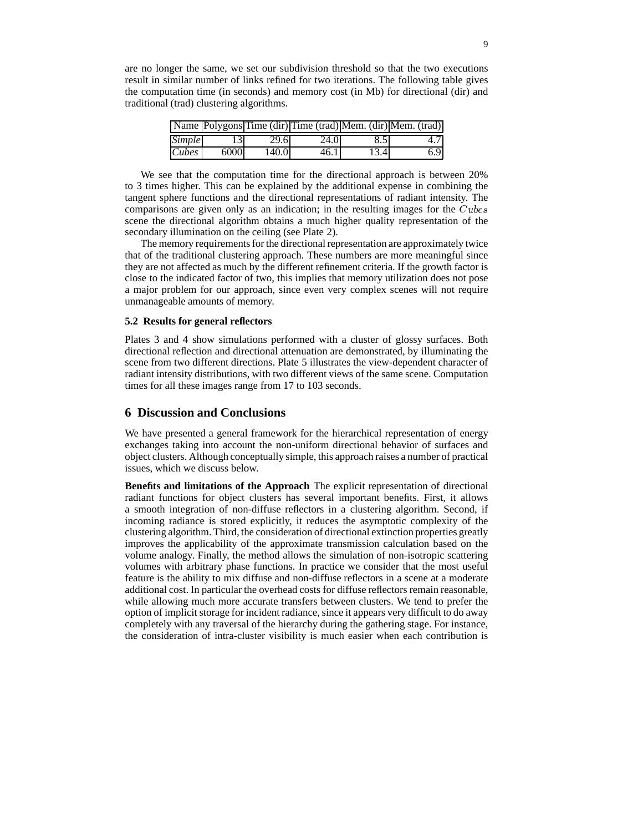are no longer the same, we set our subdivision threshold so that the two executions result in similar number of links refined for two iterations. The following table gives the computation time (in seconds) and memory cost (in Mb) for directional (dir) and traditional (trad) clustering algorithms.

|        |      |       |      |       | Name  Polygons Time (dir) Time (trad) Mem. (dir) Mem. (trad) |
|--------|------|-------|------|-------|--------------------------------------------------------------|
| Simple | 131  | 29.6  | 24.0 | 8.51  | 4.7                                                          |
| Cubes  | 6000 | 140.0 | 46.1 | 13.41 | 6.9                                                          |

We see that the computation time for the directional approach is between 20% to 3 times higher. This can be explained by the additional expense in combining the tangent sphere functions and the directional representations of radiant intensity. The comparisons are given only as an indication; in the resulting images for the  $Cubes$ scene the directional algorithm obtains a much higher quality representation of the secondary illumination on the ceiling (see Plate 2).

The memory requirements for the directional representation are approximately twice that of the traditional clustering approach. These numbers are more meaningful since they are not affected as much by the different refinement criteria. If the growth factor is close to the indicated factor of two, this implies that memory utilization does not pose a major problem for our approach, since even very complex scenes will not require unmanageable amounts of memory.

#### **5.2 Results for general reflectors**

Plates 3 and 4 show simulations performed with a cluster of glossy surfaces. Both directional reflection and directional attenuation are demonstrated, by illuminating the scene from two different directions. Plate 5 illustrates the view-dependent character of radiant intensity distributions, with two different views of the same scene. Computation times for all these images range from 17 to 103 seconds.

## **6 Discussion and Conclusions**

We have presented a general framework for the hierarchical representation of energy exchanges taking into account the non-uniform directional behavior of surfaces and object clusters. Although conceptually simple, this approach raises a number of practical issues, which we discuss below.

**Benefits and limitations of the Approach** The explicit representation of directional radiant functions for object clusters has several important benefits. First, it allows a smooth integration of non-diffuse reflectors in a clustering algorithm. Second, if incoming radiance is stored explicitly, it reduces the asymptotic complexity of the clustering algorithm. Third, the consideration of directional extinction properties greatly improves the applicability of the approximate transmission calculation based on the volume analogy. Finally, the method allows the simulation of non-isotropic scattering volumes with arbitrary phase functions. In practice we consider that the most useful feature is the ability to mix diffuse and non-diffuse reflectors in a scene at a moderate additional cost. In particular the overhead costs for diffuse reflectors remain reasonable, while allowing much more accurate transfers between clusters. We tend to prefer the option of implicit storage for incident radiance, since it appears very difficult to do away completely with any traversal of the hierarchy during the gathering stage. For instance, the consideration of intra-cluster visibility is much easier when each contribution is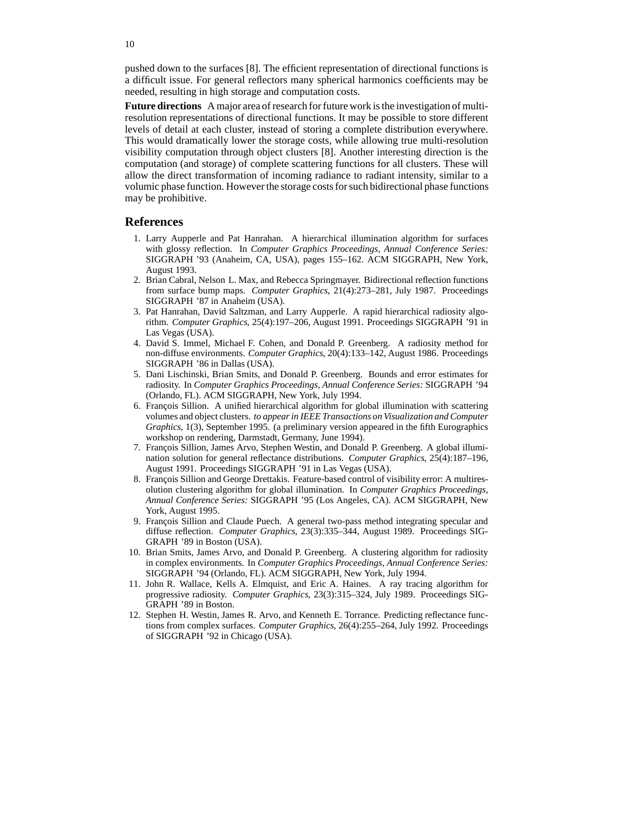pushed down to the surfaces [8]. The efficient representation of directional functions is a difficult issue. For general reflectors many spherical harmonics coefficients may be needed, resulting in high storage and computation costs.

**Future directions** A major area of research for future work is the investigation of multiresolution representations of directional functions. It may be possible to store different levels of detail at each cluster, instead of storing a complete distribution everywhere. This would dramatically lower the storage costs, while allowing true multi-resolution visibility computation through object clusters [8]. Another interesting direction is the computation (and storage) of complete scattering functions for all clusters. These will allow the direct transformation of incoming radiance to radiant intensity, similar to a volumic phase function. However the storage costs for such bidirectional phase functions may be prohibitive.

## **References**

- 1. Larry Aupperle and Pat Hanrahan. A hierarchical illumination algorithm for surfaces with glossy reflection. In *Computer Graphics Proceedings, Annual Conference Series:* SIGGRAPH '93 (Anaheim, CA, USA), pages 155–162. ACM SIGGRAPH, New York, August 1993.
- 2. Brian Cabral, Nelson L. Max, and Rebecca Springmayer. Bidirectional reflection functions from surface bump maps. *Computer Graphics*, 21(4):273–281, July 1987. Proceedings SIGGRAPH '87 in Anaheim (USA).
- 3. Pat Hanrahan, David Saltzman, and Larry Aupperle. A rapid hierarchical radiosity algorithm. *Computer Graphics*, 25(4):197–206, August 1991. Proceedings SIGGRAPH '91 in Las Vegas (USA).
- 4. David S. Immel, Michael F. Cohen, and Donald P. Greenberg. A radiosity method for non-diffuse environments. *Computer Graphics*, 20(4):133–142, August 1986. Proceedings SIGGRAPH '86 in Dallas (USA).
- 5. Dani Lischinski, Brian Smits, and Donald P. Greenberg. Bounds and error estimates for radiosity. In *Computer Graphics Proceedings, Annual Conference Series:* SIGGRAPH '94 (Orlando, FL). ACM SIGGRAPH, New York, July 1994.
- 6. François Sillion. A unified hierarchical algorithm for global illumination with scattering volumes and object clusters. *to appearin IEEE Transactions on Visualization and Computer Graphics*, 1(3), September 1995. (a preliminary version appeared in the fifth Eurographics workshop on rendering, Darmstadt, Germany, June 1994).
- 7. François Sillion, James Arvo, Stephen Westin, and Donald P. Greenberg. A global illumination solution for general reflectance distributions. *Computer Graphics*, 25(4):187–196, August 1991. Proceedings SIGGRAPH '91 in Las Vegas (USA).
- 8. François Sillion and George Drettakis. Feature-based control of visibility error: A multiresolution clustering algorithm for global illumination. In *Computer Graphics Proceedings, Annual Conference Series:* SIGGRAPH '95 (Los Angeles, CA). ACM SIGGRAPH, New York, August 1995.
- 9. François Sillion and Claude Puech. A general two-pass method integrating specular and diffuse reflection. *Computer Graphics*, 23(3):335–344, August 1989. Proceedings SIG-GRAPH '89 in Boston (USA).
- 10. Brian Smits, James Arvo, and Donald P. Greenberg. A clustering algorithm for radiosity in complex environments. In *Computer Graphics Proceedings, Annual Conference Series:* SIGGRAPH '94 (Orlando, FL). ACM SIGGRAPH, New York, July 1994.
- 11. John R. Wallace, Kells A. Elmquist, and Eric A. Haines. A ray tracing algorithm for progressive radiosity. *Computer Graphics*, 23(3):315–324, July 1989. Proceedings SIG-GRAPH '89 in Boston.
- 12. Stephen H. Westin, James R. Arvo, and Kenneth E. Torrance. Predicting reflectance functions from complex surfaces. *Computer Graphics*, 26(4):255–264, July 1992. Proceedings of SIGGRAPH '92 in Chicago (USA).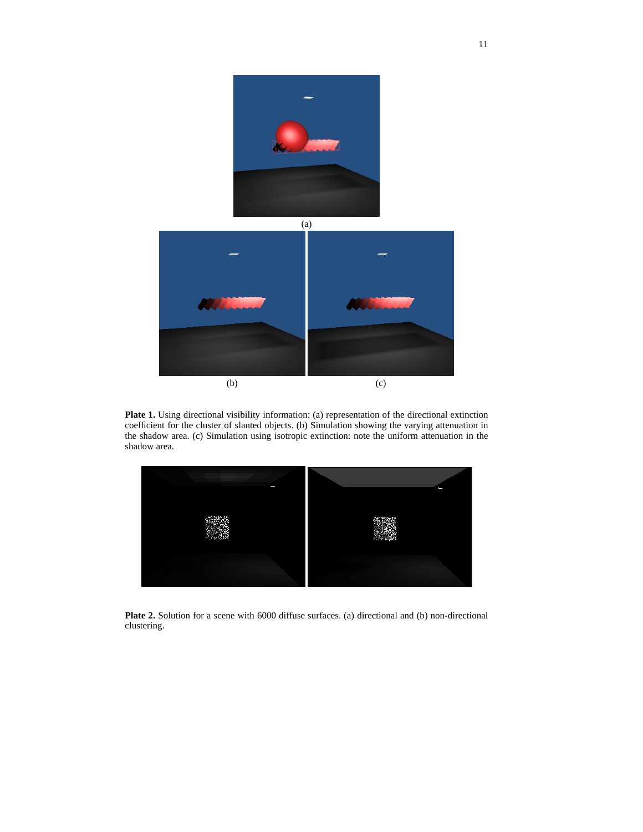

**Plate 1.** Using directional visibility information: (a) representation of the directional extinction coefficient for the cluster of slanted objects. (b) Simulation showing the varying attenuation in the shadow area. (c) Simulation using isotropic extinction: note the uniform attenuation in the shadow area.



**Plate 2.** Solution for a scene with 6000 diffuse surfaces. (a) directional and (b) non-directional clustering.